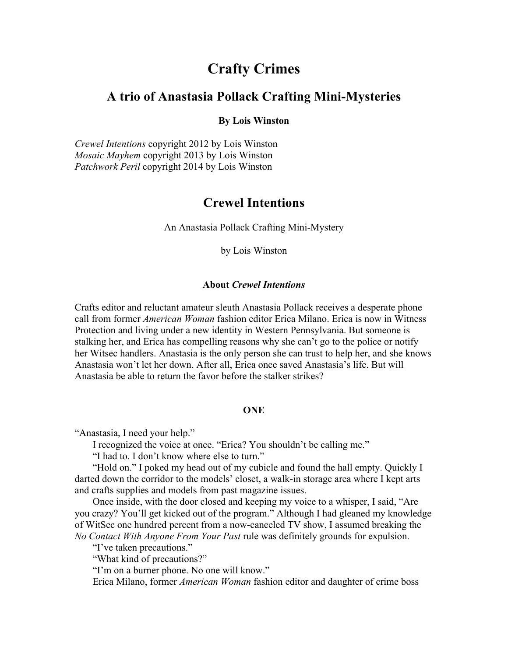# **Crafty Crimes**

## **A trio of Anastasia Pollack Crafting Mini-Mysteries**

### **By Lois Winston**

*Crewel Intentions* copyright 2012 by Lois Winston *Mosaic Mayhem* copyright 2013 by Lois Winston *Patchwork Peril* copyright 2014 by Lois Winston

## **Crewel Intentions**

An Anastasia Pollack Crafting Mini-Mystery

by Lois Winston

### **About** *Crewel Intentions*

Crafts editor and reluctant amateur sleuth Anastasia Pollack receives a desperate phone call from former *American Woman* fashion editor Erica Milano. Erica is now in Witness Protection and living under a new identity in Western Pennsylvania. But someone is stalking her, and Erica has compelling reasons why she can't go to the police or notify her Witsec handlers. Anastasia is the only person she can trust to help her, and she knows Anastasia won't let her down. After all, Erica once saved Anastasia's life. But will Anastasia be able to return the favor before the stalker strikes?

## **ONE**

"Anastasia, I need your help."

I recognized the voice at once. "Erica? You shouldn't be calling me."

"I had to. I don't know where else to turn."

"Hold on." I poked my head out of my cubicle and found the hall empty. Quickly I darted down the corridor to the models' closet, a walk-in storage area where I kept arts and crafts supplies and models from past magazine issues.

Once inside, with the door closed and keeping my voice to a whisper, I said, "Are you crazy? You'll get kicked out of the program." Although I had gleaned my knowledge of WitSec one hundred percent from a now-canceled TV show, I assumed breaking the *No Contact With Anyone From Your Past* rule was definitely grounds for expulsion.

"I've taken precautions."

"What kind of precautions?"

"I'm on a burner phone. No one will know."

Erica Milano, former *American Woman* fashion editor and daughter of crime boss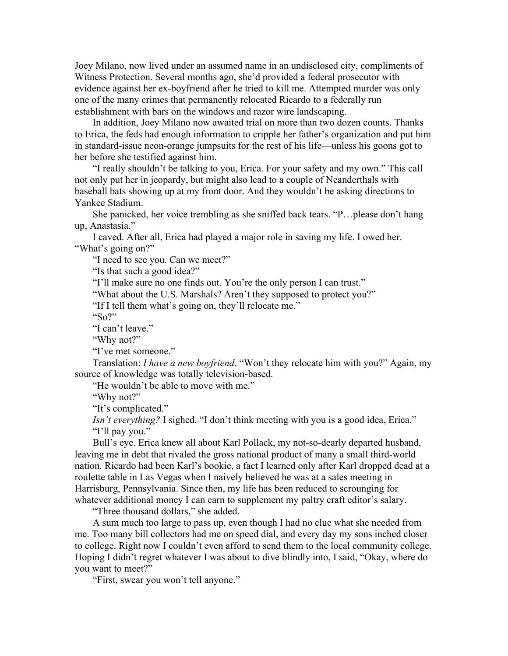Joey Milano, now lived under an assumed name in an undisclosed city, compliments of Witness Protection. Several months ago, she'd provided a federal prosecutor with evidence against her ex-boyfriend after he tried to kill me. Attempted murder was only one of the many crimes that permanently relocated Ricardo to a federally run establishment with bars on the windows and razor wire landscaping.

In addition, Joey Milano now awaited trial on more than two dozen counts. Thanks to Erica, the feds had enough information to cripple her father's organization and put him in standard-issue neon-orange jumpsuits for the rest of his life—unless his goons got to her before she testified against him.

"I really shouldn't be talking to you, Erica. For your safety and my own." This call not only put her in jeopardy, but might also lead to a couple of Neanderthals with baseball bats showing up at my front door. And they wouldn't be asking directions to Yankee Stadium.

She panicked, her voice trembling as she sniffed back tears. "P…please don't hang up, Anastasia."

I caved. After all, Erica had played a major role in saving my life. I owed her. "What's going on?"

"I need to see you. Can we meet?"

"Is that such a good idea?"

"I'll make sure no one finds out. You're the only person I can trust."

"What about the U.S. Marshals? Aren't they supposed to protect you?"

"If I tell them what's going on, they'll relocate me."

" $\mathrm{So}$ ?"

"I can't leave."

"Why not?"

"I've met someone."

Translation: *I have a new boyfriend*. "Won't they relocate him with you?" Again, my source of knowledge was totally television-based.

"He wouldn't be able to move with me."

"Why not?"

"It's complicated."

*Isn't everything?* I sighed. "I don't think meeting with you is a good idea, Erica." "I'll pay you."

Bull's eye. Erica knew all about Karl Pollack, my not-so-dearly departed husband, leaving me in debt that rivaled the gross national product of many a small third-world nation. Ricardo had been Karl's bookie, a fact I learned only after Karl dropped dead at a roulette table in Las Vegas when I naively believed he was at a sales meeting in Harrisburg, Pennsylvania. Since then, my life has been reduced to scrounging for whatever additional money I can earn to supplement my paltry craft editor's salary.

"Three thousand dollars," she added.

A sum much too large to pass up, even though I had no clue what she needed from me. Too many bill collectors had me on speed dial, and every day my sons inched closer to college. Right now I couldn't even afford to send them to the local community college. Hoping I didn't regret whatever I was about to dive blindly into, I said, "Okay, where do you want to meet?"

"First, swear you won't tell anyone."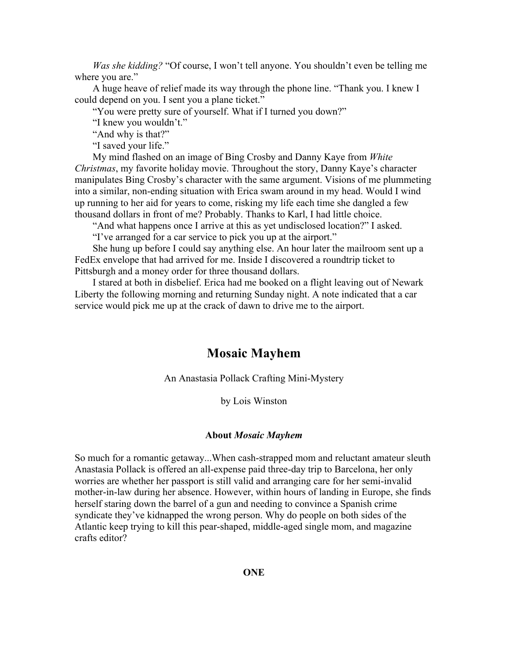*Was she kidding?* "Of course, I won't tell anyone. You shouldn't even be telling me where you are."

A huge heave of relief made its way through the phone line. "Thank you. I knew I could depend on you. I sent you a plane ticket."

"You were pretty sure of yourself. What if I turned you down?"

"I knew you wouldn't."

"And why is that?"

"I saved your life."

My mind flashed on an image of Bing Crosby and Danny Kaye from *White Christmas*, my favorite holiday movie. Throughout the story, Danny Kaye's character manipulates Bing Crosby's character with the same argument. Visions of me plummeting into a similar, non-ending situation with Erica swam around in my head. Would I wind up running to her aid for years to come, risking my life each time she dangled a few thousand dollars in front of me? Probably. Thanks to Karl, I had little choice.

"And what happens once I arrive at this as yet undisclosed location?" I asked.

"I've arranged for a car service to pick you up at the airport."

She hung up before I could say anything else. An hour later the mailroom sent up a FedEx envelope that had arrived for me. Inside I discovered a roundtrip ticket to Pittsburgh and a money order for three thousand dollars.

I stared at both in disbelief. Erica had me booked on a flight leaving out of Newark Liberty the following morning and returning Sunday night. A note indicated that a car service would pick me up at the crack of dawn to drive me to the airport.

## **Mosaic Mayhem**

An Anastasia Pollack Crafting Mini-Mystery

by Lois Winston

#### **About** *Mosaic Mayhem*

So much for a romantic getaway...When cash-strapped mom and reluctant amateur sleuth Anastasia Pollack is offered an all-expense paid three-day trip to Barcelona, her only worries are whether her passport is still valid and arranging care for her semi-invalid mother-in-law during her absence. However, within hours of landing in Europe, she finds herself staring down the barrel of a gun and needing to convince a Spanish crime syndicate they've kidnapped the wrong person. Why do people on both sides of the Atlantic keep trying to kill this pear-shaped, middle-aged single mom, and magazine crafts editor?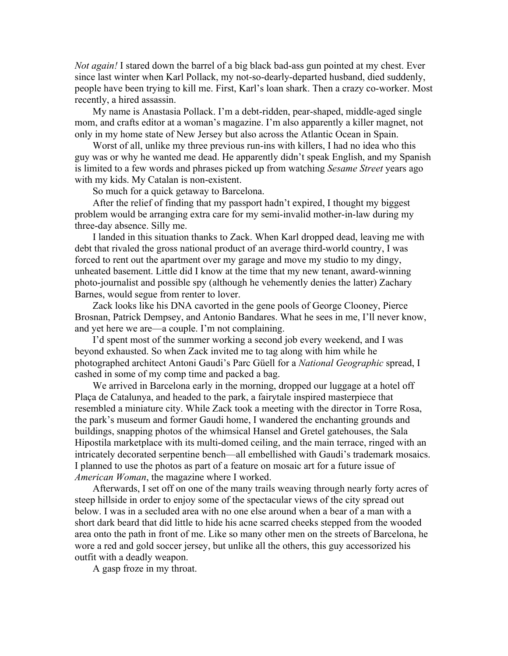*Not again!* I stared down the barrel of a big black bad-ass gun pointed at my chest. Ever since last winter when Karl Pollack, my not-so-dearly-departed husband, died suddenly, people have been trying to kill me. First, Karl's loan shark. Then a crazy co-worker. Most recently, a hired assassin.

My name is Anastasia Pollack. I'm a debt-ridden, pear-shaped, middle-aged single mom, and crafts editor at a woman's magazine. I'm also apparently a killer magnet, not only in my home state of New Jersey but also across the Atlantic Ocean in Spain.

Worst of all, unlike my three previous run-ins with killers, I had no idea who this guy was or why he wanted me dead. He apparently didn't speak English, and my Spanish is limited to a few words and phrases picked up from watching *Sesame Street* years ago with my kids. My Catalan is non-existent.

So much for a quick getaway to Barcelona.

After the relief of finding that my passport hadn't expired, I thought my biggest problem would be arranging extra care for my semi-invalid mother-in-law during my three-day absence. Silly me.

I landed in this situation thanks to Zack. When Karl dropped dead, leaving me with debt that rivaled the gross national product of an average third-world country, I was forced to rent out the apartment over my garage and move my studio to my dingy, unheated basement. Little did I know at the time that my new tenant, award-winning photo-journalist and possible spy (although he vehemently denies the latter) Zachary Barnes, would segue from renter to lover.

Zack looks like his DNA cavorted in the gene pools of George Clooney, Pierce Brosnan, Patrick Dempsey, and Antonio Bandares. What he sees in me, I'll never know, and yet here we are—a couple. I'm not complaining.

I'd spent most of the summer working a second job every weekend, and I was beyond exhausted. So when Zack invited me to tag along with him while he photographed architect Antoni Gaudi's Parc Güell for a *National Geographic* spread, I cashed in some of my comp time and packed a bag.

We arrived in Barcelona early in the morning, dropped our luggage at a hotel off Plaça de Catalunya, and headed to the park, a fairytale inspired masterpiece that resembled a miniature city. While Zack took a meeting with the director in Torre Rosa, the park's museum and former Gaudi home, I wandered the enchanting grounds and buildings, snapping photos of the whimsical Hansel and Gretel gatehouses, the Sala Hipostila marketplace with its multi-domed ceiling, and the main terrace, ringed with an intricately decorated serpentine bench—all embellished with Gaudi's trademark mosaics. I planned to use the photos as part of a feature on mosaic art for a future issue of *American Woman*, the magazine where I worked.

Afterwards, I set off on one of the many trails weaving through nearly forty acres of steep hillside in order to enjoy some of the spectacular views of the city spread out below. I was in a secluded area with no one else around when a bear of a man with a short dark beard that did little to hide his acne scarred cheeks stepped from the wooded area onto the path in front of me. Like so many other men on the streets of Barcelona, he wore a red and gold soccer jersey, but unlike all the others, this guy accessorized his outfit with a deadly weapon.

A gasp froze in my throat.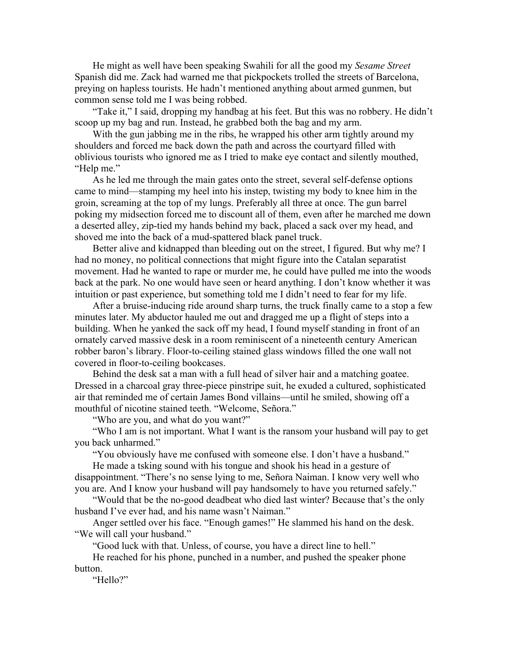He might as well have been speaking Swahili for all the good my *Sesame Street* Spanish did me. Zack had warned me that pickpockets trolled the streets of Barcelona, preying on hapless tourists. He hadn't mentioned anything about armed gunmen, but common sense told me I was being robbed.

"Take it," I said, dropping my handbag at his feet. But this was no robbery. He didn't scoop up my bag and run. Instead, he grabbed both the bag and my arm.

With the gun jabbing me in the ribs, he wrapped his other arm tightly around my shoulders and forced me back down the path and across the courtyard filled with oblivious tourists who ignored me as I tried to make eye contact and silently mouthed, "Help me."

As he led me through the main gates onto the street, several self-defense options came to mind—stamping my heel into his instep, twisting my body to knee him in the groin, screaming at the top of my lungs. Preferably all three at once. The gun barrel poking my midsection forced me to discount all of them, even after he marched me down a deserted alley, zip-tied my hands behind my back, placed a sack over my head, and shoved me into the back of a mud-spattered black panel truck.

Better alive and kidnapped than bleeding out on the street, I figured. But why me? I had no money, no political connections that might figure into the Catalan separatist movement. Had he wanted to rape or murder me, he could have pulled me into the woods back at the park. No one would have seen or heard anything. I don't know whether it was intuition or past experience, but something told me I didn't need to fear for my life.

After a bruise-inducing ride around sharp turns, the truck finally came to a stop a few minutes later. My abductor hauled me out and dragged me up a flight of steps into a building. When he yanked the sack off my head, I found myself standing in front of an ornately carved massive desk in a room reminiscent of a nineteenth century American robber baron's library. Floor-to-ceiling stained glass windows filled the one wall not covered in floor-to-ceiling bookcases.

Behind the desk sat a man with a full head of silver hair and a matching goatee. Dressed in a charcoal gray three-piece pinstripe suit, he exuded a cultured, sophisticated air that reminded me of certain James Bond villains—until he smiled, showing off a mouthful of nicotine stained teeth. "Welcome, Señora."

"Who are you, and what do you want?"

"Who I am is not important. What I want is the ransom your husband will pay to get you back unharmed."

"You obviously have me confused with someone else. I don't have a husband."

He made a tsking sound with his tongue and shook his head in a gesture of disappointment. "There's no sense lying to me, Señora Naiman. I know very well who you are. And I know your husband will pay handsomely to have you returned safely."

"Would that be the no-good deadbeat who died last winter? Because that's the only husband I've ever had, and his name wasn't Naiman."

Anger settled over his face. "Enough games!" He slammed his hand on the desk. "We will call your husband."

"Good luck with that. Unless, of course, you have a direct line to hell."

He reached for his phone, punched in a number, and pushed the speaker phone button.

"Hello?"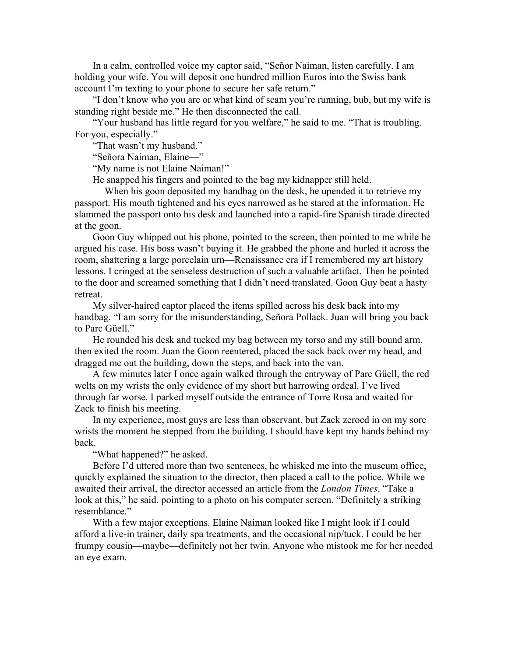In a calm, controlled voice my captor said, "Señor Naiman, listen carefully. I am holding your wife. You will deposit one hundred million Euros into the Swiss bank account I'm texting to your phone to secure her safe return."

"I don't know who you are or what kind of scam you're running, bub, but my wife is standing right beside me." He then disconnected the call.

"Your husband has little regard for you welfare," he said to me. "That is troubling. For you, especially."

"That wasn't my husband."

"Señora Naiman, Elaine—"

"My name is not Elaine Naiman!"

He snapped his fingers and pointed to the bag my kidnapper still held.

When his goon deposited my handbag on the desk, he upended it to retrieve my passport. His mouth tightened and his eyes narrowed as he stared at the information. He slammed the passport onto his desk and launched into a rapid-fire Spanish tirade directed at the goon.

Goon Guy whipped out his phone, pointed to the screen, then pointed to me while he argued his case. His boss wasn't buying it. He grabbed the phone and hurled it across the room, shattering a large porcelain urn—Renaissance era if I remembered my art history lessons. I cringed at the senseless destruction of such a valuable artifact. Then he pointed to the door and screamed something that I didn't need translated. Goon Guy beat a hasty retreat.

My silver-haired captor placed the items spilled across his desk back into my handbag. "I am sorry for the misunderstanding, Señora Pollack. Juan will bring you back to Parc Güell."

He rounded his desk and tucked my bag between my torso and my still bound arm, then exited the room. Juan the Goon reentered, placed the sack back over my head, and dragged me out the building, down the steps, and back into the van.

A few minutes later I once again walked through the entryway of Parc Güell, the red welts on my wrists the only evidence of my short but harrowing ordeal. I've lived through far worse. I parked myself outside the entrance of Torre Rosa and waited for Zack to finish his meeting.

In my experience, most guys are less than observant, but Zack zeroed in on my sore wrists the moment he stepped from the building. I should have kept my hands behind my back.

"What happened?" he asked.

Before I'd uttered more than two sentences, he whisked me into the museum office, quickly explained the situation to the director, then placed a call to the police. While we awaited their arrival, the director accessed an article from the *London Times*. "Take a look at this," he said, pointing to a photo on his computer screen. "Definitely a striking resemblance."

With a few major exceptions. Elaine Naiman looked like I might look if I could afford a live-in trainer, daily spa treatments, and the occasional nip/tuck. I could be her frumpy cousin—maybe—definitely not her twin. Anyone who mistook me for her needed an eye exam.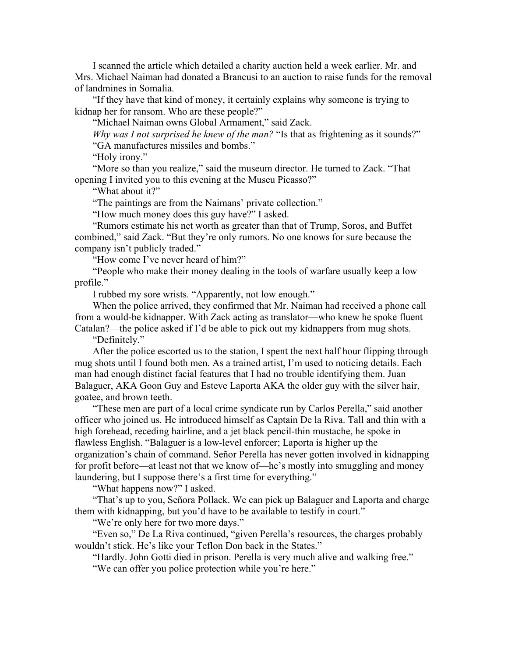I scanned the article which detailed a charity auction held a week earlier. Mr. and Mrs. Michael Naiman had donated a Brancusi to an auction to raise funds for the removal of landmines in Somalia.

"If they have that kind of money, it certainly explains why someone is trying to kidnap her for ransom. Who are these people?"

"Michael Naiman owns Global Armament," said Zack.

*Why was I not surprised he knew of the man?* "Is that as frightening as it sounds?"

"GA manufactures missiles and bombs."

"Holy irony."

"More so than you realize," said the museum director. He turned to Zack. "That opening I invited you to this evening at the Museu Picasso?"

"What about it?"

"The paintings are from the Naimans' private collection."

"How much money does this guy have?" I asked.

"Rumors estimate his net worth as greater than that of Trump, Soros, and Buffet combined," said Zack. "But they're only rumors. No one knows for sure because the company isn't publicly traded."

"How come I've never heard of him?"

"People who make their money dealing in the tools of warfare usually keep a low profile."

I rubbed my sore wrists. "Apparently, not low enough."

When the police arrived, they confirmed that Mr. Naiman had received a phone call from a would-be kidnapper. With Zack acting as translator—who knew he spoke fluent Catalan?—the police asked if I'd be able to pick out my kidnappers from mug shots.

"Definitely."

After the police escorted us to the station, I spent the next half hour flipping through mug shots until I found both men. As a trained artist, I'm used to noticing details. Each man had enough distinct facial features that I had no trouble identifying them. Juan Balaguer, AKA Goon Guy and Esteve Laporta AKA the older guy with the silver hair, goatee, and brown teeth.

"These men are part of a local crime syndicate run by Carlos Perella," said another officer who joined us. He introduced himself as Captain De la Riva. Tall and thin with a high forehead, receding hairline, and a jet black pencil-thin mustache, he spoke in flawless English. "Balaguer is a low-level enforcer; Laporta is higher up the organization's chain of command. Señor Perella has never gotten involved in kidnapping for profit before—at least not that we know of—he's mostly into smuggling and money laundering, but I suppose there's a first time for everything."

"What happens now?" I asked.

"That's up to you, Señora Pollack. We can pick up Balaguer and Laporta and charge them with kidnapping, but you'd have to be available to testify in court."

"We're only here for two more days."

"Even so," De La Riva continued, "given Perella's resources, the charges probably wouldn't stick. He's like your Teflon Don back in the States."

"Hardly. John Gotti died in prison. Perella is very much alive and walking free." "We can offer you police protection while you're here."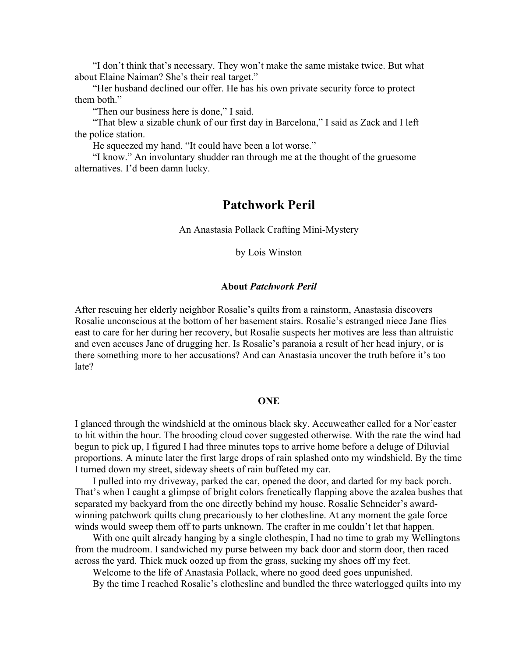"I don't think that's necessary. They won't make the same mistake twice. But what about Elaine Naiman? She's their real target."

"Her husband declined our offer. He has his own private security force to protect them both."

"Then our business here is done," I said.

"That blew a sizable chunk of our first day in Barcelona," I said as Zack and I left the police station.

He squeezed my hand. "It could have been a lot worse."

"I know." An involuntary shudder ran through me at the thought of the gruesome alternatives. I'd been damn lucky.

## **Patchwork Peril**

An Anastasia Pollack Crafting Mini-Mystery

by Lois Winston

### **About** *Patchwork Peril*

After rescuing her elderly neighbor Rosalie's quilts from a rainstorm, Anastasia discovers Rosalie unconscious at the bottom of her basement stairs. Rosalie's estranged niece Jane flies east to care for her during her recovery, but Rosalie suspects her motives are less than altruistic and even accuses Jane of drugging her. Is Rosalie's paranoia a result of her head injury, or is there something more to her accusations? And can Anastasia uncover the truth before it's too late?

## **ONE**

I glanced through the windshield at the ominous black sky. Accuweather called for a Nor'easter to hit within the hour. The brooding cloud cover suggested otherwise. With the rate the wind had begun to pick up, I figured I had three minutes tops to arrive home before a deluge of Diluvial proportions. A minute later the first large drops of rain splashed onto my windshield. By the time I turned down my street, sideway sheets of rain buffeted my car.

I pulled into my driveway, parked the car, opened the door, and darted for my back porch. That's when I caught a glimpse of bright colors frenetically flapping above the azalea bushes that separated my backyard from the one directly behind my house. Rosalie Schneider's awardwinning patchwork quilts clung precariously to her clothesline. At any moment the gale force winds would sweep them off to parts unknown. The crafter in me couldn't let that happen.

With one quilt already hanging by a single clothespin, I had no time to grab my Wellingtons from the mudroom. I sandwiched my purse between my back door and storm door, then raced across the yard. Thick muck oozed up from the grass, sucking my shoes off my feet.

Welcome to the life of Anastasia Pollack, where no good deed goes unpunished.

By the time I reached Rosalie's clothesline and bundled the three waterlogged quilts into my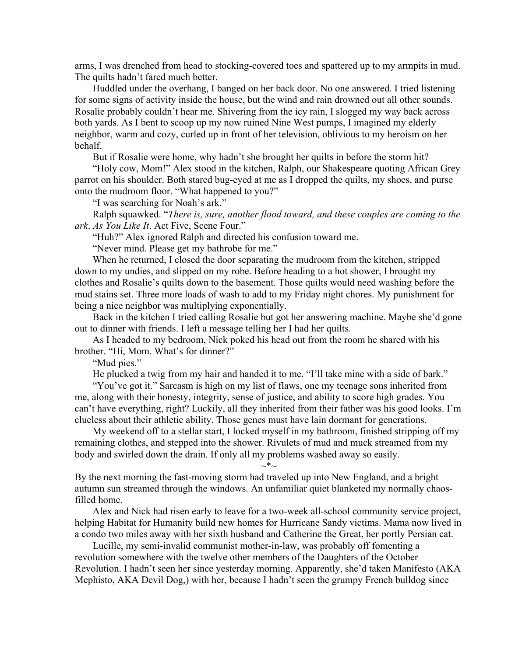arms, I was drenched from head to stocking-covered toes and spattered up to my armpits in mud. The quilts hadn't fared much better.

Huddled under the overhang, I banged on her back door. No one answered. I tried listening for some signs of activity inside the house, but the wind and rain drowned out all other sounds. Rosalie probably couldn't hear me. Shivering from the icy rain, I slogged my way back across both yards. As I bent to scoop up my now ruined Nine West pumps, I imagined my elderly neighbor, warm and cozy, curled up in front of her television, oblivious to my heroism on her behalf.

But if Rosalie were home, why hadn't she brought her quilts in before the storm hit?

"Holy cow, Mom!" Alex stood in the kitchen, Ralph, our Shakespeare quoting African Grey parrot on his shoulder. Both stared bug-eyed at me as I dropped the quilts, my shoes, and purse onto the mudroom floor. "What happened to you?"

"I was searching for Noah's ark."

Ralph squawked. "*There is, sure, another flood toward, and these couples are coming to the ark*. *As You Like It*. Act Five, Scene Four."

"Huh?" Alex ignored Ralph and directed his confusion toward me.

"Never mind. Please get my bathrobe for me."

When he returned, I closed the door separating the mudroom from the kitchen, stripped down to my undies, and slipped on my robe. Before heading to a hot shower, I brought my clothes and Rosalie's quilts down to the basement. Those quilts would need washing before the mud stains set. Three more loads of wash to add to my Friday night chores. My punishment for being a nice neighbor was multiplying exponentially.

Back in the kitchen I tried calling Rosalie but got her answering machine. Maybe she'd gone out to dinner with friends. I left a message telling her I had her quilts.

As I headed to my bedroom, Nick poked his head out from the room he shared with his brother. "Hi, Mom. What's for dinner?"

"Mud pies."

He plucked a twig from my hair and handed it to me. "I'll take mine with a side of bark."

"You've got it." Sarcasm is high on my list of flaws, one my teenage sons inherited from me, along with their honesty, integrity, sense of justice, and ability to score high grades. You can't have everything, right? Luckily, all they inherited from their father was his good looks. I'm clueless about their athletic ability. Those genes must have lain dormant for generations.

My weekend off to a stellar start, I locked myself in my bathroom, finished stripping off my remaining clothes, and stepped into the shower. Rivulets of mud and muck streamed from my body and swirled down the drain. If only all my problems washed away so easily.

 $\sim^*$ ~

By the next morning the fast-moving storm had traveled up into New England, and a bright autumn sun streamed through the windows. An unfamiliar quiet blanketed my normally chaosfilled home.

Alex and Nick had risen early to leave for a two-week all-school community service project, helping Habitat for Humanity build new homes for Hurricane Sandy victims. Mama now lived in a condo two miles away with her sixth husband and Catherine the Great, her portly Persian cat.

Lucille, my semi-invalid communist mother-in-law, was probably off fomenting a revolution somewhere with the twelve other members of the Daughters of the October Revolution. I hadn't seen her since yesterday morning. Apparently, she'd taken Manifesto (AKA Mephisto, AKA Devil Dog,) with her, because I hadn't seen the grumpy French bulldog since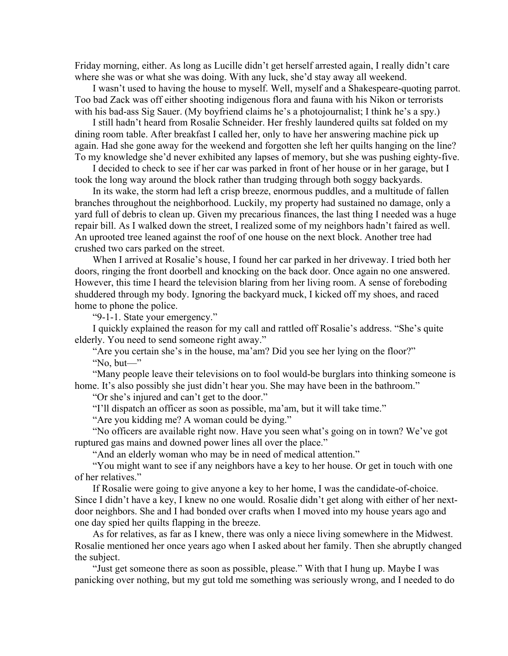Friday morning, either. As long as Lucille didn't get herself arrested again, I really didn't care where she was or what she was doing. With any luck, she'd stay away all weekend.

I wasn't used to having the house to myself. Well, myself and a Shakespeare-quoting parrot. Too bad Zack was off either shooting indigenous flora and fauna with his Nikon or terrorists with his bad-ass Sig Sauer. (My boyfriend claims he's a photojournalist; I think he's a spy.)

I still hadn't heard from Rosalie Schneider. Her freshly laundered quilts sat folded on my dining room table. After breakfast I called her, only to have her answering machine pick up again. Had she gone away for the weekend and forgotten she left her quilts hanging on the line? To my knowledge she'd never exhibited any lapses of memory, but she was pushing eighty-five.

I decided to check to see if her car was parked in front of her house or in her garage, but I took the long way around the block rather than trudging through both soggy backyards.

In its wake, the storm had left a crisp breeze, enormous puddles, and a multitude of fallen branches throughout the neighborhood. Luckily, my property had sustained no damage, only a yard full of debris to clean up. Given my precarious finances, the last thing I needed was a huge repair bill. As I walked down the street, I realized some of my neighbors hadn't faired as well. An uprooted tree leaned against the roof of one house on the next block. Another tree had crushed two cars parked on the street.

When I arrived at Rosalie's house, I found her car parked in her driveway. I tried both her doors, ringing the front doorbell and knocking on the back door. Once again no one answered. However, this time I heard the television blaring from her living room. A sense of foreboding shuddered through my body. Ignoring the backyard muck, I kicked off my shoes, and raced home to phone the police.

"9-1-1. State your emergency."

I quickly explained the reason for my call and rattled off Rosalie's address. "She's quite elderly. You need to send someone right away."

"Are you certain she's in the house, ma'am? Did you see her lying on the floor?" "No, but—"

"Many people leave their televisions on to fool would-be burglars into thinking someone is home. It's also possibly she just didn't hear you. She may have been in the bathroom."

"Or she's injured and can't get to the door."

"I'll dispatch an officer as soon as possible, ma'am, but it will take time."

"Are you kidding me? A woman could be dying."

"No officers are available right now. Have you seen what's going on in town? We've got ruptured gas mains and downed power lines all over the place."

"And an elderly woman who may be in need of medical attention."

"You might want to see if any neighbors have a key to her house. Or get in touch with one of her relatives."

If Rosalie were going to give anyone a key to her home, I was the candidate-of-choice. Since I didn't have a key, I knew no one would. Rosalie didn't get along with either of her nextdoor neighbors. She and I had bonded over crafts when I moved into my house years ago and one day spied her quilts flapping in the breeze.

As for relatives, as far as I knew, there was only a niece living somewhere in the Midwest. Rosalie mentioned her once years ago when I asked about her family. Then she abruptly changed the subject.

"Just get someone there as soon as possible, please." With that I hung up. Maybe I was panicking over nothing, but my gut told me something was seriously wrong, and I needed to do